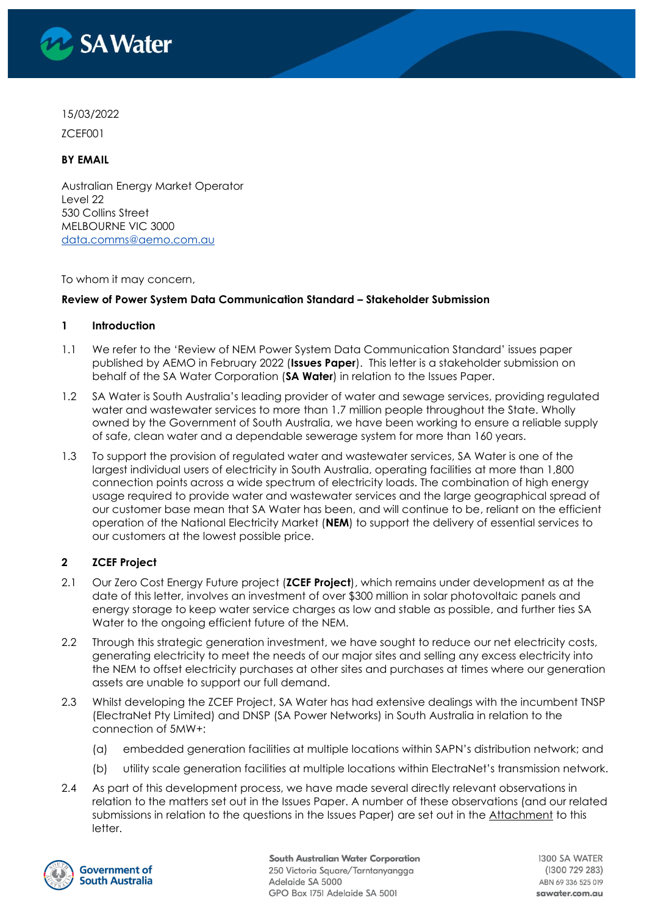

## 15/03/2022

ZCEF001

# **BY EMAIL**

Australian Energy Market Operator Level 22 530 Collins Street MELBOURNE VIC 3000 [data.comms@aemo.com.au](mailto:data.comms@aemo.com.au)

### To whom it may concern,

## **Review of Power System Data Communication Standard – Stakeholder Submission**

### **1 Introduction**

- 1.1 We refer to the 'Review of NEM Power System Data Communication Standard' issues paper published by AEMO in February 2022 (**Issues Paper**). This letter is a stakeholder submission on behalf of the SA Water Corporation (**SA Water**) in relation to the Issues Paper.
- 1.2 SA Water is South Australia's leading provider of water and sewage services, providing regulated water and wastewater services to more than 1.7 million people throughout the State. Wholly owned by the Government of South Australia, we have been working to ensure a reliable supply of safe, clean water and a dependable sewerage system for more than 160 years.
- 1.3 To support the provision of regulated water and wastewater services, SA Water is one of the largest individual users of electricity in South Australia, operating facilities at more than 1,800 connection points across a wide spectrum of electricity loads. The combination of high energy usage required to provide water and wastewater services and the large geographical spread of our customer base mean that SA Water has been, and will continue to be, reliant on the efficient operation of the National Electricity Market (**NEM**) to support the delivery of essential services to our customers at the lowest possible price.

# **2 ZCEF Project**

- 2.1 Our Zero Cost Energy Future project (**ZCEF Project**), which remains under development as at the date of this letter, involves an investment of over \$300 million in solar photovoltaic panels and energy storage to keep water service charges as low and stable as possible, and further ties SA Water to the ongoing efficient future of the NEM.
- 2.2 Through this strategic generation investment, we have sought to reduce our net electricity costs, generating electricity to meet the needs of our major sites and selling any excess electricity into the NEM to offset electricity purchases at other sites and purchases at times where our generation assets are unable to support our full demand.
- 2.3 Whilst developing the ZCEF Project, SA Water has had extensive dealings with the incumbent TNSP (ElectraNet Pty Limited) and DNSP (SA Power Networks) in South Australia in relation to the connection of 5MW+:
	- (a) embedded generation facilities at multiple locations within SAPN's distribution network; and
	- (b) utility scale generation facilities at multiple locations within ElectraNet's transmission network.
- 2.4 As part of this development process, we have made several directly relevant observations in relation to the matters set out in the Issues Paper. A number of these observations (and our related submissions in relation to the questions in the Issues Paper) are set out in the Attachment to this letter.

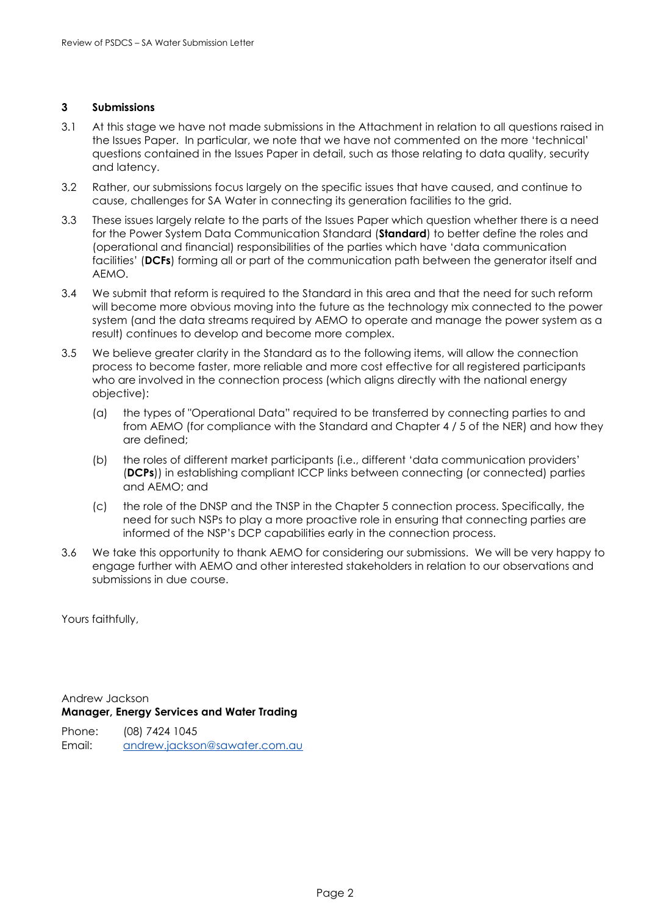### **3 Submissions**

- 3.1 At this stage we have not made submissions in the Attachment in relation to all questions raised in the Issues Paper. In particular, we note that we have not commented on the more 'technical' questions contained in the Issues Paper in detail, such as those relating to data quality, security and latency.
- 3.2 Rather, our submissions focus largely on the specific issues that have caused, and continue to cause, challenges for SA Water in connecting its generation facilities to the grid.
- 3.3 These issues largely relate to the parts of the Issues Paper which question whether there is a need for the Power System Data Communication Standard (**Standard**) to better define the roles and (operational and financial) responsibilities of the parties which have 'data communication facilities' (**DCFs**) forming all or part of the communication path between the generator itself and AEMO.
- 3.4 We submit that reform is required to the Standard in this area and that the need for such reform will become more obvious moving into the future as the technology mix connected to the power system (and the data streams required by AEMO to operate and manage the power system as a result) continues to develop and become more complex.
- 3.5 We believe greater clarity in the Standard as to the following items, will allow the connection process to become faster, more reliable and more cost effective for all registered participants who are involved in the connection process (which aligns directly with the national energy objective):
	- (a) the types of "Operational Data" required to be transferred by connecting parties to and from AEMO (for compliance with the Standard and Chapter 4 / 5 of the NER) and how they are defined;
	- (b) the roles of different market participants (i.e., different 'data communication providers' (**DCPs**)) in establishing compliant ICCP links between connecting (or connected) parties and AEMO; and
	- (c) the role of the DNSP and the TNSP in the Chapter 5 connection process. Specifically, the need for such NSPs to play a more proactive role in ensuring that connecting parties are informed of the NSP's DCP capabilities early in the connection process.
- 3.6 We take this opportunity to thank AEMO for considering our submissions. We will be very happy to engage further with AEMO and other interested stakeholders in relation to our observations and submissions in due course.

Yours faithfully,

Andrew Jackson **Manager, Energy Services and Water Trading**

Phone: (08) 7424 1045 Email: [andrew.jackson@sawater.com.au](mailto:andrew.jackson@sawater.com.au)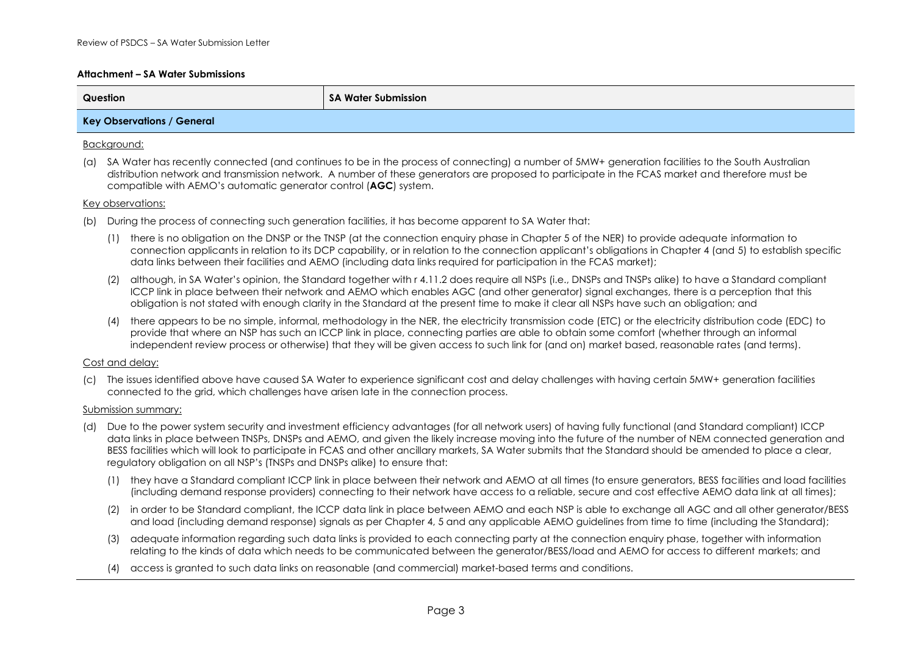### **Attachment – SA Water Submissions**

| Question                          | SA Water Submission |
|-----------------------------------|---------------------|
| <b>Key Observations / General</b> |                     |

### Background:

(a) SA Water has recently connected (and continues to be in the process of connecting) a number of 5MW+ generation facilities to the South Australian distribution network and transmission network. A number of these generators are proposed to participate in the FCAS market and therefore must be compatible with AEMO's automatic generator control (**AGC**) system.

### Key observations:

- (b) During the process of connecting such generation facilities, it has become apparent to SA Water that:
	- (1) there is no obligation on the DNSP or the TNSP (at the connection enquiry phase in Chapter 5 of the NER) to provide adequate information to connection applicants in relation to its DCP capability, or in relation to the connection applicant's obligations in Chapter 4 (and 5) to establish specific data links between their facilities and AEMO (including data links required for participation in the FCAS market);
	- (2) although, in SA Water's opinion, the Standard together with r 4.11.2 does require all NSPs (i.e., DNSPs and TNSPs alike) to have a Standard compliant ICCP link in place between their network and AEMO which enables AGC (and other generator) signal exchanges, there is a perception that this obligation is not stated with enough clarity in the Standard at the present time to make it clear all NSPs have such an obligation; and
	- (4) there appears to be no simple, informal, methodology in the NER, the electricity transmission code (ETC) or the electricity distribution code (EDC) to provide that where an NSP has such an ICCP link in place, connecting parties are able to obtain some comfort (whether through an informal independent review process or otherwise) that they will be given access to such link for (and on) market based, reasonable rates (and terms).

### Cost and delay:

(c) The issues identified above have caused SA Water to experience significant cost and delay challenges with having certain 5MW+ generation facilities connected to the grid, which challenges have arisen late in the connection process.

#### Submission summary:

- (d) Due to the power system security and investment efficiency advantages (for all network users) of having fully functional (and Standard compliant) ICCP data links in place between TNSPs, DNSPs and AEMO, and given the likely increase moving into the future of the number of NEM connected generation and BESS facilities which will look to participate in FCAS and other ancillary markets, SA Water submits that the Standard should be amended to place a clear, regulatory obligation on all NSP's (TNSPs and DNSPs alike) to ensure that:
	- (1) they have a Standard compliant ICCP link in place between their network and AEMO at all times (to ensure generators, BESS facilities and load facilities (including demand response providers) connecting to their network have access to a reliable, secure and cost effective AEMO data link at all times);
	- (2) in order to be Standard compliant, the ICCP data link in place between AEMO and each NSP is able to exchange all AGC and all other generator/BESS and load (including demand response) signals as per Chapter 4, 5 and any applicable AEMO guidelines from time to time (including the Standard);
	- (3) adequate information regarding such data links is provided to each connecting party at the connection enquiry phase, together with information relating to the kinds of data which needs to be communicated between the generator/BESS/load and AEMO for access to different markets; and
	- (4) access is granted to such data links on reasonable (and commercial) market-based terms and conditions.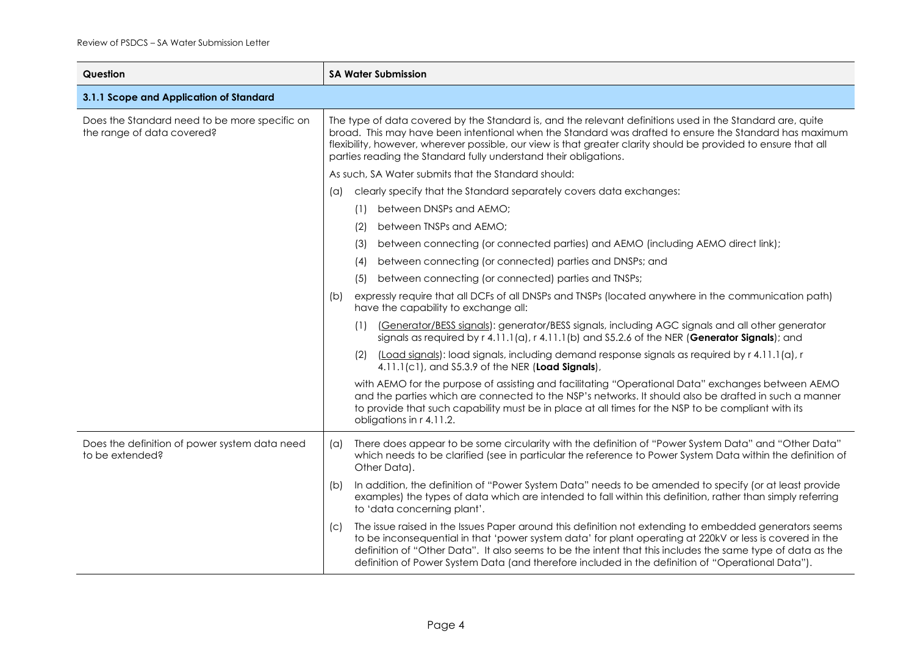| Question                                                                    | <b>SA Water Submission</b>                                                                                                                                                                                                                                                                                                                                                                                 |                                                                                                                                                                                                                                                                                                                                                                                                                                       |  |  |
|-----------------------------------------------------------------------------|------------------------------------------------------------------------------------------------------------------------------------------------------------------------------------------------------------------------------------------------------------------------------------------------------------------------------------------------------------------------------------------------------------|---------------------------------------------------------------------------------------------------------------------------------------------------------------------------------------------------------------------------------------------------------------------------------------------------------------------------------------------------------------------------------------------------------------------------------------|--|--|
| 3.1.1 Scope and Application of Standard                                     |                                                                                                                                                                                                                                                                                                                                                                                                            |                                                                                                                                                                                                                                                                                                                                                                                                                                       |  |  |
| Does the Standard need to be more specific on<br>the range of data covered? | The type of data covered by the Standard is, and the relevant definitions used in the Standard are, quite<br>broad. This may have been intentional when the Standard was drafted to ensure the Standard has maximum<br>flexibility, however, wherever possible, our view is that greater clarity should be provided to ensure that all<br>parties reading the Standard fully understand their obligations. |                                                                                                                                                                                                                                                                                                                                                                                                                                       |  |  |
|                                                                             |                                                                                                                                                                                                                                                                                                                                                                                                            | As such, SA Water submits that the Standard should:                                                                                                                                                                                                                                                                                                                                                                                   |  |  |
|                                                                             | (a)                                                                                                                                                                                                                                                                                                                                                                                                        | clearly specify that the Standard separately covers data exchanges:                                                                                                                                                                                                                                                                                                                                                                   |  |  |
|                                                                             |                                                                                                                                                                                                                                                                                                                                                                                                            | between DNSPs and AEMO;<br>(1)                                                                                                                                                                                                                                                                                                                                                                                                        |  |  |
|                                                                             |                                                                                                                                                                                                                                                                                                                                                                                                            | between TNSPs and AEMO;<br>(2)                                                                                                                                                                                                                                                                                                                                                                                                        |  |  |
|                                                                             |                                                                                                                                                                                                                                                                                                                                                                                                            | between connecting (or connected parties) and AEMO (including AEMO direct link);<br>(3)                                                                                                                                                                                                                                                                                                                                               |  |  |
|                                                                             |                                                                                                                                                                                                                                                                                                                                                                                                            | between connecting (or connected) parties and DNSPs; and<br>(4)                                                                                                                                                                                                                                                                                                                                                                       |  |  |
|                                                                             |                                                                                                                                                                                                                                                                                                                                                                                                            | between connecting (or connected) parties and TNSPs;<br>(5)                                                                                                                                                                                                                                                                                                                                                                           |  |  |
|                                                                             | (b)                                                                                                                                                                                                                                                                                                                                                                                                        | expressly require that all DCFs of all DNSPs and TNSPs (located anywhere in the communication path)<br>have the capability to exchange all:                                                                                                                                                                                                                                                                                           |  |  |
|                                                                             |                                                                                                                                                                                                                                                                                                                                                                                                            | (Generator/BESS signals): generator/BESS signals, including AGC signals and all other generator<br>(1)<br>signals as required by $r$ 4.11.1(a), $r$ 4.11.1(b) and \$5.2.6 of the NER (Generator Signals); and                                                                                                                                                                                                                         |  |  |
|                                                                             |                                                                                                                                                                                                                                                                                                                                                                                                            | $(2)$ (Load signals): load signals, including demand response signals as required by r 4.11.1(a), r<br>4.11.1(c1), and \$5.3.9 of the NER (Load Signals),                                                                                                                                                                                                                                                                             |  |  |
|                                                                             |                                                                                                                                                                                                                                                                                                                                                                                                            | with AEMO for the purpose of assisting and facilitating "Operational Data" exchanges between AEMO<br>and the parties which are connected to the NSP's networks. It should also be drafted in such a manner<br>to provide that such capability must be in place at all times for the NSP to be compliant with its<br>obligations in r 4.11.2.                                                                                          |  |  |
| Does the definition of power system data need<br>to be extended?            | (a)                                                                                                                                                                                                                                                                                                                                                                                                        | There does appear to be some circularity with the definition of "Power System Data" and "Other Data"<br>which needs to be clarified (see in particular the reference to Power System Data within the definition of<br>Other Data).                                                                                                                                                                                                    |  |  |
|                                                                             | (b)                                                                                                                                                                                                                                                                                                                                                                                                        | In addition, the definition of "Power System Data" needs to be amended to specify (or at least provide<br>examples) the types of data which are intended to fall within this definition, rather than simply referring<br>to 'data concerning plant'.                                                                                                                                                                                  |  |  |
|                                                                             | (C)                                                                                                                                                                                                                                                                                                                                                                                                        | The issue raised in the Issues Paper around this definition not extending to embedded generators seems<br>to be inconsequential in that 'power system data' for plant operating at 220kV or less is covered in the<br>definition of "Other Data". It also seems to be the intent that this includes the same type of data as the<br>definition of Power System Data (and therefore included in the definition of "Operational Data"). |  |  |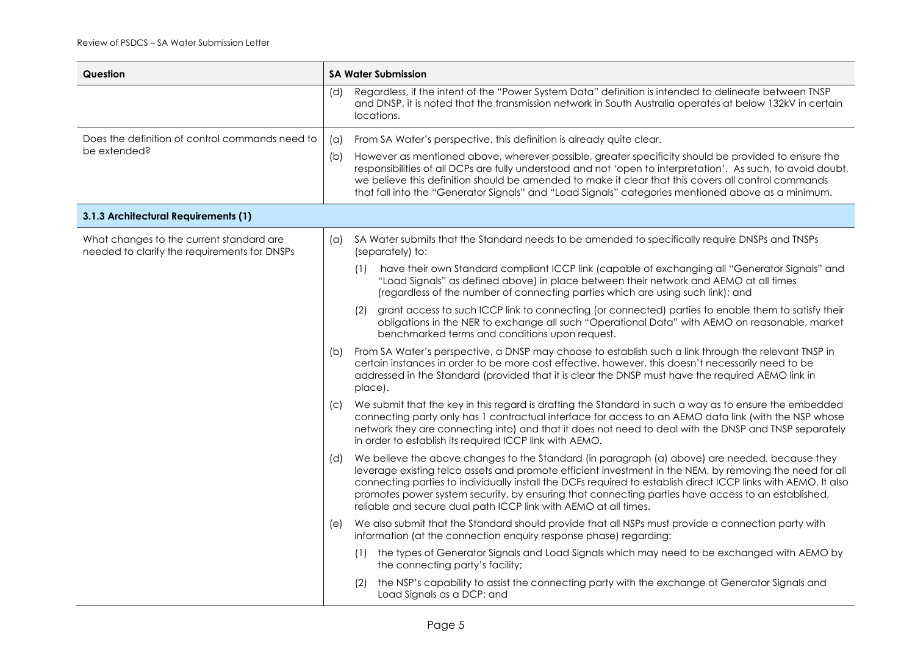| Question                                                                                 |            | <b>SA Water Submission</b>                                                                                                                                                                                                                                                                                                                                                                                                                                                                            |  |  |
|------------------------------------------------------------------------------------------|------------|-------------------------------------------------------------------------------------------------------------------------------------------------------------------------------------------------------------------------------------------------------------------------------------------------------------------------------------------------------------------------------------------------------------------------------------------------------------------------------------------------------|--|--|
|                                                                                          | (d)        | Regardless, if the intent of the "Power System Data" definition is intended to delineate between TNSP<br>and DNSP, it is noted that the transmission network in South Australia operates at below 132kV in certain<br>locations.                                                                                                                                                                                                                                                                      |  |  |
| Does the definition of control commands need to<br>be extended?                          | $(\alpha)$ | From SA Water's perspective, this definition is already quite clear.                                                                                                                                                                                                                                                                                                                                                                                                                                  |  |  |
|                                                                                          | (b)        | However as mentioned above, wherever possible, greater specificity should be provided to ensure the<br>responsibilities of all DCPs are fully understood and not 'open to interpretation'. As such, to avoid doubt,<br>we believe this definition should be amended to make it clear that this covers all control commands<br>that fall into the "Generator Signals" and "Load Signals" categories mentioned above as a minimum.                                                                      |  |  |
| 3.1.3 Architectural Requirements (1)                                                     |            |                                                                                                                                                                                                                                                                                                                                                                                                                                                                                                       |  |  |
| What changes to the current standard are<br>needed to clarify the requirements for DNSPs | (a)        | SA Water submits that the Standard needs to be amended to specifically require DNSPs and TNSPs<br>(separately) to:                                                                                                                                                                                                                                                                                                                                                                                    |  |  |
|                                                                                          |            | have their own Standard compliant ICCP link (capable of exchanging all "Generator Signals" and<br>(1)<br>"Load Signals" as defined above) in place between their network and AEMO at all times<br>(regardless of the number of connecting parties which are using such link); and                                                                                                                                                                                                                     |  |  |
|                                                                                          |            | grant access to such ICCP link to connecting (or connected) parties to enable them to satisfy their<br>(2)<br>obligations in the NER to exchange all such "Operational Data" with AEMO on reasonable, market<br>benchmarked terms and conditions upon request.                                                                                                                                                                                                                                        |  |  |
|                                                                                          | (b)        | From SA Water's perspective, a DNSP may choose to establish such a link through the relevant TNSP in<br>certain instances in order to be more cost effective, however, this doesn't necessarily need to be<br>addressed in the Standard (provided that it is clear the DNSP must have the required AEMO link in<br>place).                                                                                                                                                                            |  |  |
|                                                                                          | (C)        | We submit that the key in this regard is drafting the Standard in such a way as to ensure the embedded<br>connecting party only has 1 contractual interface for access to an AEMO data link (with the NSP whose<br>network they are connecting into) and that it does not need to deal with the DNSP and TNSP separately<br>in order to establish its required ICCP link with AEMO.                                                                                                                   |  |  |
|                                                                                          | (d)        | We believe the above changes to the Standard (in paragraph (a) above) are needed, because they<br>leverage existing telco assets and promote efficient investment in the NEM, by removing the need for all<br>connecting parties to individually install the DCFs required to establish direct ICCP links with AEMO. It also<br>promotes power system security, by ensuring that connecting parties have access to an established,<br>reliable and secure dual path ICCP link with AEMO at all times. |  |  |
|                                                                                          | (e)        | We also submit that the Standard should provide that all NSPs must provide a connection party with<br>information (at the connection enquiry response phase) regarding:                                                                                                                                                                                                                                                                                                                               |  |  |
|                                                                                          |            | (1) the types of Generator Signals and Load Signals which may need to be exchanged with AEMO by<br>the connecting party's facility;                                                                                                                                                                                                                                                                                                                                                                   |  |  |
|                                                                                          |            | the NSP's capability to assist the connecting party with the exchange of Generator Signals and<br>Load Signals as a DCP; and                                                                                                                                                                                                                                                                                                                                                                          |  |  |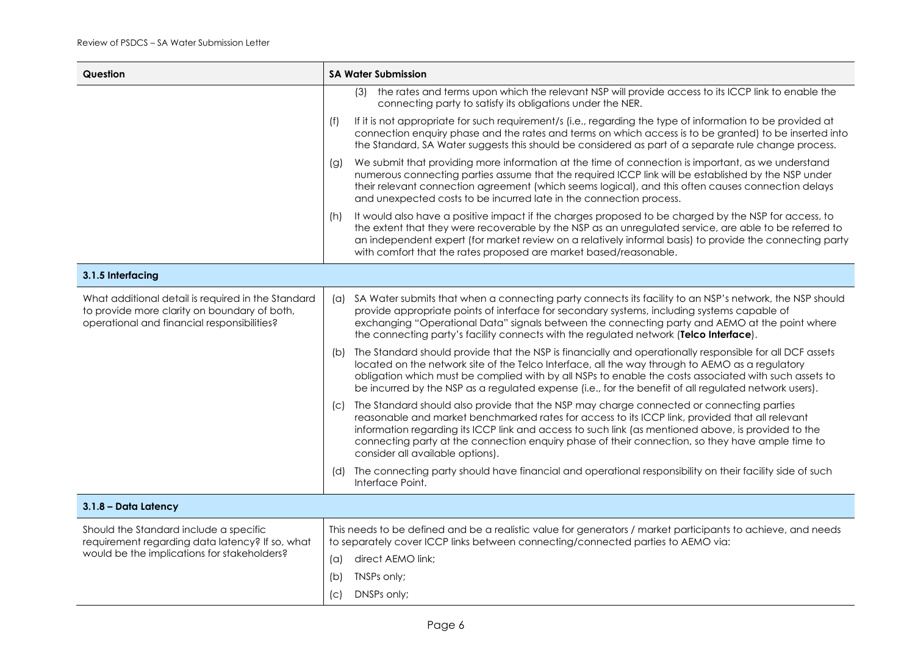| Question                                                                                                                                          | <b>SA Water Submission</b>                                                                                                                                                                                                                                                                                                                                                                                                                        |  |  |
|---------------------------------------------------------------------------------------------------------------------------------------------------|---------------------------------------------------------------------------------------------------------------------------------------------------------------------------------------------------------------------------------------------------------------------------------------------------------------------------------------------------------------------------------------------------------------------------------------------------|--|--|
|                                                                                                                                                   | (3) the rates and terms upon which the relevant NSP will provide access to its ICCP link to enable the<br>connecting party to satisfy its obligations under the NER.                                                                                                                                                                                                                                                                              |  |  |
|                                                                                                                                                   | (f)<br>If it is not appropriate for such requirement/s (i.e., regarding the type of information to be provided at<br>connection enquiry phase and the rates and terms on which access is to be granted) to be inserted into<br>the Standard, SA Water suggests this should be considered as part of a separate rule change process.                                                                                                               |  |  |
|                                                                                                                                                   | We submit that providing more information at the time of connection is important, as we understand<br>(g)<br>numerous connecting parties assume that the required ICCP link will be established by the NSP under<br>their relevant connection agreement (which seems logical), and this often causes connection delays<br>and unexpected costs to be incurred late in the connection process.                                                     |  |  |
|                                                                                                                                                   | It would also have a positive impact if the charges proposed to be charged by the NSP for access, to<br>(h)<br>the extent that they were recoverable by the NSP as an unregulated service, are able to be referred to<br>an independent expert (for market review on a relatively informal basis) to provide the connecting party<br>with comfort that the rates proposed are market based/reasonable.                                            |  |  |
| 3.1.5 Interfacing                                                                                                                                 |                                                                                                                                                                                                                                                                                                                                                                                                                                                   |  |  |
| What additional detail is required in the Standard<br>to provide more clarity on boundary of both,<br>operational and financial responsibilities? | SA Water submits that when a connecting party connects its facility to an NSP's network, the NSP should<br>(a)<br>provide appropriate points of interface for secondary systems, including systems capable of<br>exchanging "Operational Data" signals between the connecting party and AEMO at the point where<br>the connecting party's facility connects with the regulated network (Telco Interface).                                         |  |  |
|                                                                                                                                                   | The Standard should provide that the NSP is financially and operationally responsible for all DCF assets<br>(b)<br>located on the network site of the Telco Interface, all the way through to AEMO as a regulatory<br>obligation which must be complied with by all NSPs to enable the costs associated with such assets to<br>be incurred by the NSP as a regulated expense (i.e., for the benefit of all regulated network users).              |  |  |
|                                                                                                                                                   | The Standard should also provide that the NSP may charge connected or connecting parties<br>(C)<br>reasonable and market benchmarked rates for access to its ICCP link, provided that all relevant<br>information regarding its ICCP link and access to such link (as mentioned above, is provided to the<br>connecting party at the connection enquiry phase of their connection, so they have ample time to<br>consider all available options). |  |  |
|                                                                                                                                                   | The connecting party should have financial and operational responsibility on their facility side of such<br>(d)<br>Interface Point.                                                                                                                                                                                                                                                                                                               |  |  |
| 3.1.8 - Data Latency                                                                                                                              |                                                                                                                                                                                                                                                                                                                                                                                                                                                   |  |  |
| Should the Standard include a specific<br>requirement regarding data latency? If so, what<br>would be the implications for stakeholders?          | This needs to be defined and be a realistic value for generators / market participants to achieve, and needs<br>to separately cover ICCP links between connecting/connected parties to AEMO via:                                                                                                                                                                                                                                                  |  |  |
|                                                                                                                                                   | direct AEMO link;<br>$(\alpha)$                                                                                                                                                                                                                                                                                                                                                                                                                   |  |  |
|                                                                                                                                                   | TNSPs only;<br>(b)                                                                                                                                                                                                                                                                                                                                                                                                                                |  |  |
|                                                                                                                                                   | DNSPs only;<br>(C)                                                                                                                                                                                                                                                                                                                                                                                                                                |  |  |